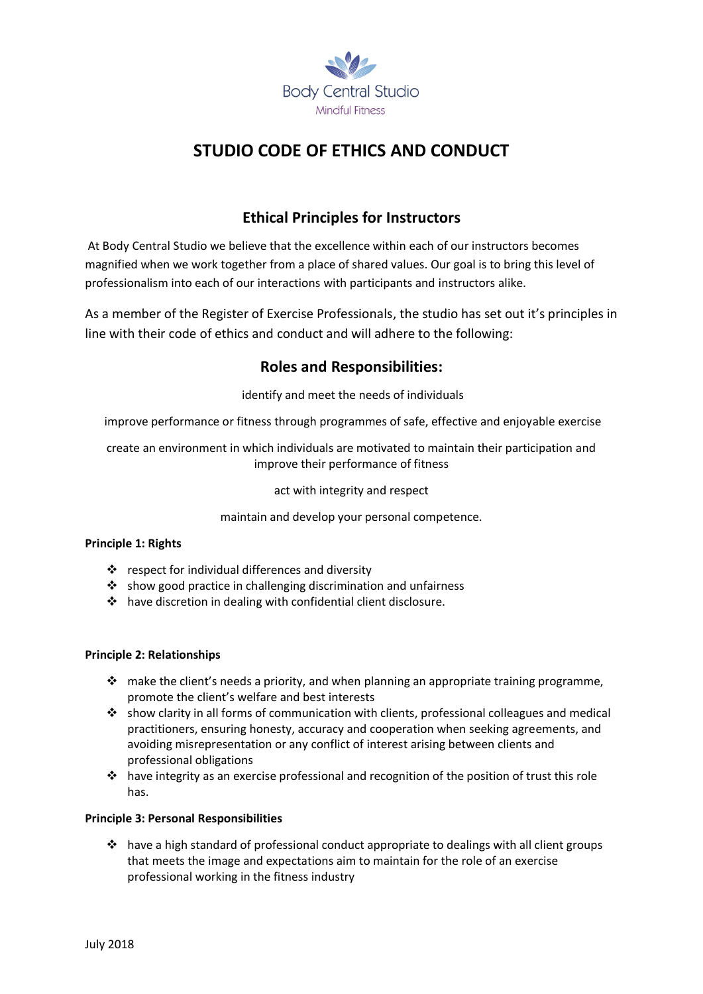

# **STUDIO CODE OF ETHICS AND CONDUCT**

## **Ethical Principles for Instructors**

At Body Central Studio we believe that the excellence within each of our instructors becomes magnified when we work together from a place of shared values. Our goal is to bring this level of professionalism into each of our interactions with participants and instructors alike.

As a member of the Register of Exercise Professionals, the studio has set out it's principles in line with their code of ethics and conduct and will adhere to the following:

### **Roles and Responsibilities:**

identify and meet the needs of individuals

improve performance or fitness through programmes of safe, effective and enjoyable exercise

create an environment in which individuals are motivated to maintain their participation and improve their performance of fitness

act with integrity and respect

maintain and develop your personal competence.

#### **Principle 1: Rights**

- ❖ respect for individual differences and diversity
- ❖ show good practice in challenging discrimination and unfairness
- ❖ have discretion in dealing with confidential client disclosure.

#### **Principle 2: Relationships**

- ❖ make the client's needs a priority, and when planning an appropriate training programme, promote the client's welfare and best interests
- ❖ show clarity in all forms of communication with clients, professional colleagues and medical practitioners, ensuring honesty, accuracy and cooperation when seeking agreements, and avoiding misrepresentation or any conflict of interest arising between clients and professional obligations
- $\dots$  have integrity as an exercise professional and recognition of the position of trust this role has.

#### **Principle 3: Personal Responsibilities**

 $\dots$  have a high standard of professional conduct appropriate to dealings with all client groups that meets the image and expectations aim to maintain for the role of an exercise professional working in the fitness industry